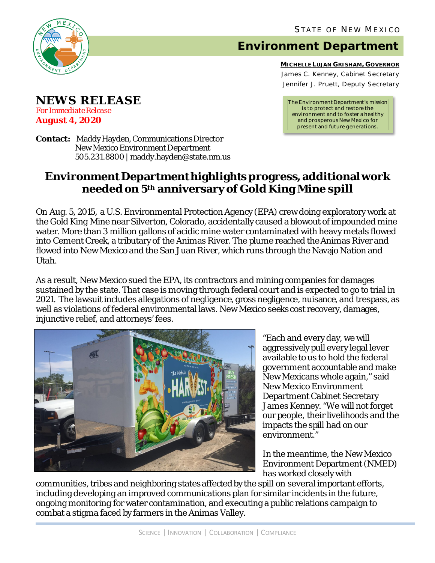

**NEWS RELEASE**

*For Immediate Release* **August 4, 2020**

## **Environment Department**

**MICHELLE LUJAN GRISHAM, GOVERNOR** James C. Kenney, Cabinet Secretary Jennifer J. Pruett, Deputy Secretary

*The Environment Department's mission is to protect and restore the environment and to foster a healthy and prosperous New Mexico for present and future generations.*

**Contact:** Maddy Hayden, Communications Director New Mexico Environment Department 505.231.8800 | maddy.hayden@state.nm.us

## **Environment Department highlights progress, additional work needed on 5th anniversary of Gold King Mine spill**

On Aug. 5, 2015, a U.S. Environmental Protection Agency (EPA) crew doing exploratory work at the Gold King Mine near Silverton, Colorado, accidentally caused a blowout of impounded mine water. More than 3 million gallons of acidic mine water contaminated with heavy metals flowed into Cement Creek, a tributary of the Animas River. The plume reached the Animas River and flowed into New Mexico and the San Juan River, which runs through the Navajo Nation and Utah.

As a result, New Mexico sued the EPA, its contractors and mining companies for damages sustained by the state. That case is moving through federal court and is expected to go to trial in 2021. The lawsuit includes allegations of negligence, gross negligence, nuisance, and trespass, as well as violations of federal environmental laws. New Mexico seeks cost recovery, damages, injunctive relief, and attorneys' fees.



"Each and every day, we will aggressively pull every legal lever available to us to hold the federal government accountable and make New Mexicans whole again," said New Mexico Environment Department Cabinet Secretary James Kenney. "We will not forget our people, their livelihoods and the impacts the spill had on our environment."

In the meantime, the New Mexico Environment Department (NMED) has worked closely with

communities, tribes and neighboring states affected by the spill on several important efforts, including developing an improved communications plan for similar incidents in the future, ongoing monitoring for water contamination, and executing a public relations campaign to combat a stigma faced by farmers in the Animas Valley.